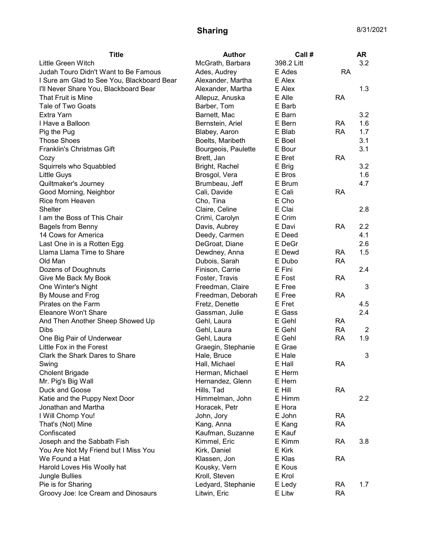## **Sharing** 8/31/2021

| <b>Title</b>                               | Author              | Call #     |           | <b>AR</b> |
|--------------------------------------------|---------------------|------------|-----------|-----------|
| Little Green Witch                         | McGrath, Barbara    | 398.2 Litt |           | 3.2       |
| Judah Touro Didn't Want to Be Famous       | Ades, Audrey        | E Ades     | <b>RA</b> |           |
| I Sure am Glad to See You, Blackboard Bear | Alexander, Martha   | E Alex     |           |           |
| I'll Never Share You, Blackboard Bear      | Alexander, Martha   | E Alex     |           | 1.3       |
| That Fruit is Mine                         | Allepuz, Anuska     | E Alle     | <b>RA</b> |           |
| Tale of Two Goats                          | Barber, Tom         | E Barb     |           |           |
| Extra Yarn                                 | Barnett, Mac        | E Barn     |           | 3.2       |
| I Have a Balloon                           | Bernstein, Ariel    | E Bern     | <b>RA</b> | 1.6       |
| Pig the Pug                                | Blabey, Aaron       | E Blab     | <b>RA</b> | 1.7       |
| <b>Those Shoes</b>                         | Boelts, Maribeth    | E Boel     |           | 3.1       |
| Franklin's Christmas Gift                  | Bourgeois, Paulette | E Bour     |           | 3.1       |
| Cozy                                       | Brett, Jan          | E Bret     | <b>RA</b> |           |
| Squirrels who Squabbled                    | Bright, Rachel      | E Brig     |           | 3.2       |
| Little Guys                                | Brosgol, Vera       | E Bros     |           | 1.6       |
| Quiltmaker's Journey                       | Brumbeau, Jeff      | E Brum     |           | 4.7       |
| Good Morning, Neighbor                     | Cali, Davide        | E Cali     | <b>RA</b> |           |
| Rice from Heaven                           | Cho, Tina           | E Cho      |           |           |
| <b>Shelter</b>                             | Claire, Celine      | E Clai     |           | 2.8       |
| I am the Boss of This Chair                | Crimi, Carolyn      | E Crim     |           |           |
| <b>Bagels from Benny</b>                   | Davis, Aubrey       | E Davi     | <b>RA</b> | 2.2       |
| 14 Cows for America                        | Deedy, Carmen       | E Deed     |           | 4.1       |
| Last One in is a Rotten Egg                | DeGroat, Diane      | E DeGr     |           | 2.6       |
| Llama Llama Time to Share                  | Dewdney, Anna       | E Dewd     | RA        | 1.5       |
| Old Man                                    | Dubois, Sarah       | E Dubo     | <b>RA</b> |           |
| Dozens of Doughnuts                        | Finison, Carrie     | E Fini     |           | 2.4       |
| Give Me Back My Book                       | Foster, Travis      | E Fost     | <b>RA</b> |           |
| One Winter's Night                         | Freedman, Claire    | E Free     |           | 3         |
| By Mouse and Frog                          | Freedman, Deborah   | E Free     | <b>RA</b> |           |
| Pirates on the Farm                        | Fretz, Denette      | E Fret     |           | 4.5       |
| Eleanore Won't Share                       | Gassman, Julie      | E Gass     |           | 2.4       |
| And Then Another Sheep Showed Up           | Gehl, Laura         | E Gehl     | <b>RA</b> |           |
| <b>Dibs</b>                                | Gehl, Laura         | E Gehl     | <b>RA</b> | 2         |
| One Big Pair of Underwear                  | Gehl, Laura         | E Gehl     | <b>RA</b> | 1.9       |
| Little Fox in the Forest                   | Graegin, Stephanie  | E Grae     |           |           |
| Clark the Shark Dares to Share             | Hale, Bruce         | E Hale     |           | 3         |
| Swing                                      | Hall, Michael       | E Hall     | <b>RA</b> |           |
| <b>Cholent Brigade</b>                     | Herman, Michael     | E Herm     |           |           |
| Mr. Pig's Big Wall                         | Hernandez, Glenn    | E Hern     |           |           |
| Duck and Goose                             | Hills, Tad          | E Hill     | <b>RA</b> |           |
| Katie and the Puppy Next Door              | Himmelman, John     | E Himm     |           | $2.2\,$   |
| Jonathan and Martha                        | Horacek, Petr       | E Hora     |           |           |
| I Will Chomp You!                          | John, Jory          | E John     | <b>RA</b> |           |
| That's (Not) Mine                          | Kang, Anna          | E Kang     | <b>RA</b> |           |
| Confiscated                                | Kaufman, Suzanne    | E Kauf     |           |           |
| Joseph and the Sabbath Fish                | Kimmel, Eric        | E Kimm     | <b>RA</b> | 3.8       |
| You Are Not My Friend but I Miss You       | Kirk, Daniel        | E Kirk     |           |           |
| We Found a Hat                             | Klassen, Jon        | E Klas     | <b>RA</b> |           |
| Harold Loves His Woolly hat                | Kousky, Vern        | E Kous     |           |           |
| Jungle Bullies                             | Kroll, Steven       | E Krol     |           |           |
| Pie is for Sharing                         | Ledyard, Stephanie  | E Ledy     | <b>RA</b> | 1.7       |
| Groovy Joe: Ice Cream and Dinosaurs        | Litwin, Eric        | E Litw     | <b>RA</b> |           |